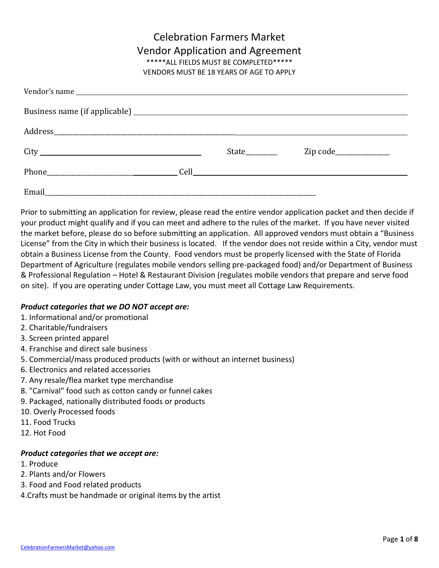# Celebration Farmers Market Vendor Application and Agreement \*\*\*\*\*ALL FIELDS MUST BE COMPLETED\*\*\*\*\*

VENDORS MUST BE 18 YEARS OF AGE TO APPLY

|  | State | $\mathsf{Zip code}\_$ |
|--|-------|-----------------------|
|  |       |                       |
|  |       |                       |

Prior to submitting an application for review, please read the entire vendor application packet and then decide if your product might qualify and if you can meet and adhere to the rules of the market. If you have never visited the market before, please do so before submitting an application. All approved vendors must obtain a "Business License" from the City in which their business is located. If the vendor does not reside within a City, vendor must obtain a Business License from the County. Food vendors must be properly licensed with the State of Florida Department of Agriculture (regulates mobile vendors selling pre-packaged food) and/or Department of Business & Professional Regulation – Hotel & Restaurant Division (regulates mobile vendors that prepare and serve food on site). If you are operating under Cottage Law, you must meet all Cottage Law Requirements.

### *Product categories that we DO NOT accept are:*

- 1. Informational and/or promotional
- 2. Charitable/fundraisers
- 3. Screen printed apparel
- 4. Franchise and direct sale business
- 5. Commercial/mass produced products (with or without an internet business)
- 6. Electronics and related accessories
- 7. Any resale/flea market type merchandise
- 8. "Carnival" food such as cotton candy or funnel cakes
- 9. Packaged, nationally distributed foods or products
- 10. Overly Processed foods
- 11. Food Trucks
- 12. Hot Food

### *Product categories that we accept are:*

- 1. Produce
- 2. Plants and/or Flowers
- 3. Food and Food related products
- 4.Crafts must be handmade or original items by the artist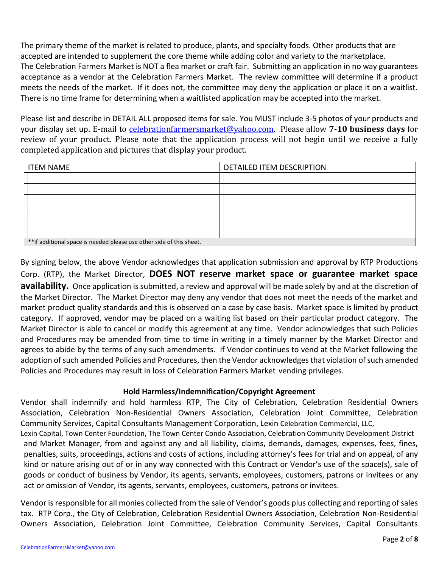The primary theme of the market is related to produce, plants, and specialty foods. Other products that are accepted are intended to supplement the core theme while adding color and variety to the marketplace. The Celebration Farmers Market is NOT a flea market or craft fair. Submitting an application in no way guarantees acceptance as a vendor at the Celebration Farmers Market. The review committee will determine if a product meets the needs of the market. If it does not, the committee may deny the application or place it on a waitlist. There is no time frame for determining when a waitlisted application may be accepted into the market.

Please list and describe in DETAIL ALL proposed items for sale. You MUST include 3-5 photos of your products and your display set up. E-mail to [celebrationfarmersmarket@yahoo.com.](mailto:celebrationfarmersmarket@yahoo.com) Please allow **7-10 business days** for review of your product. Please note that the application process will not begin until we receive a fully completed application and pictures that display your product.

| <b>ITEM NAME</b>                                                      | DETAILED ITEM DESCRIPTION |  |
|-----------------------------------------------------------------------|---------------------------|--|
|                                                                       |                           |  |
|                                                                       |                           |  |
|                                                                       |                           |  |
|                                                                       |                           |  |
|                                                                       |                           |  |
|                                                                       |                           |  |
| ** If additional space is needed please use other side of this sheet. |                           |  |

By signing below, the above Vendor acknowledges that application submission and approval by RTP Productions Corp. (RTP), the Market Director, **DOES NOT reserve market space or guarantee market space availability.** Once application is submitted, a review and approval will be made solely by and at the discretion of the Market Director. The Market Director may deny any vendor that does not meet the needs of the market and market product quality standards and this is observed on a case by case basis. Market space is limited by product category. If approved, vendor may be placed on a waiting list based on their particular product category. The Market Director is able to cancel or modify this agreement at any time. Vendor acknowledges that such Policies and Procedures may be amended from time to time in writing in a timely manner by the Market Director and agrees to abide by the terms of any such amendments. If Vendor continues to vend at the Market following the adoption of such amended Policies and Procedures, then the Vendor acknowledges that violation of such amended Policies and Procedures may result in loss of Celebration Farmers Market vending privileges.

### **Hold Harmless/Indemnification/Copyright Agreement**

Vendor shall indemnify and hold harmless RTP, The City of Celebration, Celebration Residential Owners Association, Celebration Non-Residential Owners Association, Celebration Joint Committee, Celebration Community Services, Capital Consultants Management Corporation, Lexin Celebration Commercial, LLC,

Lexin Capital, Town Center Foundation, The Town Center Condo Association, Celebration Community Development District and Market Manager, from and against any and all liability, claims, demands, damages, expenses, fees, fines, penalties, suits, proceedings, actions and costs of actions, including attorney's fees for trial and on appeal, of any kind or nature arising out of or in any way connected with this Contract or Vendor's use of the space(s), sale of goods or conduct of business by Vendor, its agents, servants, employees, customers, patrons or invitees or any act or omission of Vendor, its agents, servants, employees, customers, patrons or invitees.

Vendor is responsible for all monies collected from the sale of Vendor's goods plus collecting and reporting of sales tax. RTP Corp., the City of Celebration, Celebration Residential Owners Association, Celebration Non-Residential Owners Association, Celebration Joint Committee, Celebration Community Services, Capital Consultants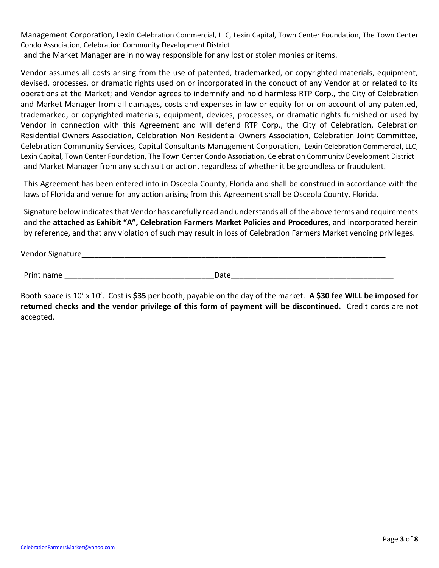Management Corporation, Lexin Celebration Commercial, LLC, Lexin Capital, Town Center Foundation, The Town Center Condo Association, Celebration Community Development District

and the Market Manager are in no way responsible for any lost or stolen monies or items.

Vendor assumes all costs arising from the use of patented, trademarked, or copyrighted materials, equipment, devised, processes, or dramatic rights used on or incorporated in the conduct of any Vendor at or related to its operations at the Market; and Vendor agrees to indemnify and hold harmless RTP Corp., the City of Celebration and Market Manager from all damages, costs and expenses in law or equity for or on account of any patented, trademarked, or copyrighted materials, equipment, devices, processes, or dramatic rights furnished or used by Vendor in connection with this Agreement and will defend RTP Corp., the City of Celebration, Celebration Residential Owners Association, Celebration Non Residential Owners Association, Celebration Joint Committee, Celebration Community Services, Capital Consultants Management Corporation, Lexin Celebration Commercial, LLC, Lexin Capital, Town Center Foundation, The Town Center Condo Association, Celebration Community Development District and Market Manager from any such suit or action, regardless of whether it be groundless or fraudulent.

This Agreement has been entered into in Osceola County, Florida and shall be construed in accordance with the laws of Florida and venue for any action arising from this Agreement shall be Osceola County, Florida.

Signature below indicates that Vendor has carefully read and understands all of the above terms and requirements and the **attached as Exhibit "A", Celebration Farmers Market Policies and Procedures**, and incorporated herein by reference, and that any violation of such may result in loss of Celebration Farmers Market vending privileges.

Vendor Signature

| Print name | Date |
|------------|------|
|            |      |

Booth space is 10' x 10'. Cost is **\$35** per booth, payable on the day of the market. **A \$30 fee WILL be imposed for returned checks and the vendor privilege of this form of payment will be discontinued.** Credit cards are not accepted.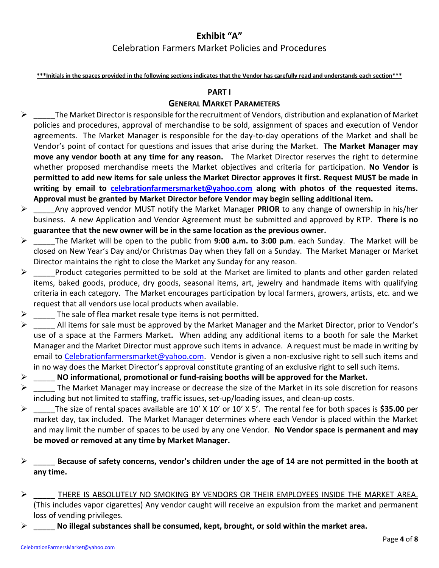# **Exhibit "A"**

# Celebration Farmers Market Policies and Procedures

**\*\*\*Initials in the spaces provided in the following sections indicates that the Vendor has carefully read and understands each section\*\*\***

#### **PART I**

### **GENERAL MARKET PARAMETERS**

- $\triangleright$  The Market Director is responsible for the recruitment of Vendors, distribution and explanation of Market policies and procedures, approval of merchandise to be sold, assignment of spaces and execution of Vendor agreements. The Market Manager is responsible for the day-to-day operations of the Market and shall be Vendor's point of contact for questions and issues that arise during the Market. **The Market Manager may move any vendor booth at any time for any reason.** The Market Director reserves the right to determine whether proposed merchandise meets the Market objectives and criteria for participation. **No Vendor is permitted to add new items for sale unless the Market Director approves it first. Request MUST be made in writing by email to [celebrationfarmersmarket@yahoo.com](mailto:celebrationfarmersmarket@yahoo.com) along with photos of the requested items. Approval must be granted by Market Director before Vendor may begin selling additional item.**
- ➢ \_\_\_\_\_Any approved vendor MUST notify the Market Manager **PRIOR** to any change of ownership in his/her business. A new Application and Vendor Agreement must be submitted and approved by RTP. **There is no guarantee that the new owner will be in the same location as the previous owner.**
- ➢ \_\_\_\_\_The Market will be open to the public from **9:00 a.m. to 3:00 p.m**. each Sunday. The Market will be closed on New Year's Day and/or Christmas Day when they fall on a Sunday. The Market Manager or Market Director maintains the right to close the Market any Sunday for any reason.
- $\triangleright$  Product categories permitted to be sold at the Market are limited to plants and other garden related items, baked goods, produce, dry goods, seasonal items, art, jewelry and handmade items with qualifying criteria in each category. The Market encourages participation by local farmers, growers, artists, etc. and we request that all vendors use local products when available.
- $\triangleright$  The sale of flea market resale type items is not permitted.
- $\triangleright$  All items for sale must be approved by the Market Manager and the Market Director, prior to Vendor's use of a space at the Farmers Market**.** When adding any additional items to a booth for sale the Market Manager and the Market Director must approve such items in advance. A request must be made in writing by email to [Celebrationfarmersmarket@yahoo.com.](mailto:Celebrationfarmersmarket@yahoo.com) Vendor is given a non-exclusive right to sell such items and in no way does the Market Director's approval constitute granting of an exclusive right to sell such items.
- ➢ \_\_\_\_\_ **NO informational, promotional or fund-raising booths will be approved for the Market.**
- $\triangleright$  The Market Manager may increase or decrease the size of the Market in its sole discretion for reasons including but not limited to staffing, traffic issues, set-up/loading issues, and clean-up costs.
- ➢ \_\_\_\_\_The size of rental spaces available are 10' X 10' or 10' X 5'. The rental fee for both spaces is **\$35.00** per market day, tax included. The Market Manager determines where each Vendor is placed within the Market and may limit the number of spaces to be used by any one Vendor. **No Vendor space is permanent and may be moved or removed at any time by Market Manager.**
- ➢ \_\_\_\_\_ **Because of safety concerns, vendor's children under the age of 14 are not permitted in the booth at any time.**
- $\triangleright$  THERE IS ABSOLUTELY NO SMOKING BY VENDORS OR THEIR EMPLOYEES INSIDE THE MARKET AREA. (This includes vapor cigarettes) Any vendor caught will receive an expulsion from the market and permanent loss of vending privileges.
- No illegal substances shall be consumed, kept, brought, or sold within the market area.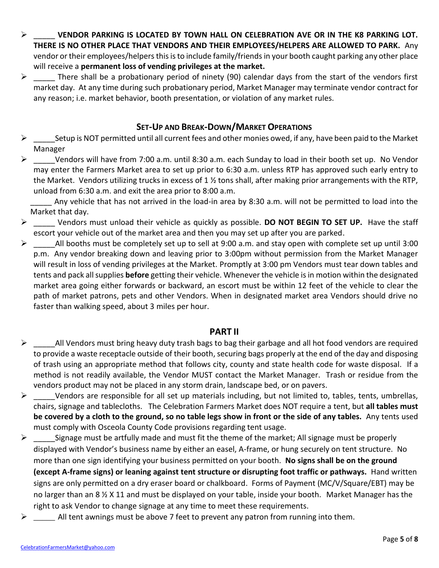- ➢ \_\_\_\_\_ **VENDOR PARKING IS LOCATED BY TOWN HALL ON CELEBRATION AVE OR IN THE K8 PARKING LOT. THERE IS NO OTHER PLACE THAT VENDORS AND THEIR EMPLOYEES/HELPERS ARE ALLOWED TO PARK.** Any vendor or their employees/helpers this is to include family/friends in your booth caught parking any other place will receive a **permanent loss of vending privileges at the market.**
- $\triangleright$  There shall be a probationary period of ninety (90) calendar days from the start of the vendors first market day. At any time during such probationary period, Market Manager may terminate vendor contract for any reason; i.e. market behavior, booth presentation, or violation of any market rules.

# **SET-UP AND BREAK-DOWN/MARKET OPERATIONS**

- $\triangleright$  Setup is NOT permitted until all current fees and other monies owed, if any, have been paid to the Market Manager
- $\triangleright$  Vendors will have from 7:00 a.m. until 8:30 a.m. each Sunday to load in their booth set up. No Vendor may enter the Farmers Market area to set up prior to 6:30 a.m. unless RTP has approved such early entry to the Market. Vendors utilizing trucks in excess of 1  $\frac{1}{2}$  tons shall, after making prior arrangements with the RTP, unload from 6:30 a.m. and exit the area prior to 8:00 a.m.

Any vehicle that has not arrived in the load-in area by 8:30 a.m. will not be permitted to load into the Market that day.

- ➢ \_\_\_\_\_ Vendors must unload their vehicle as quickly as possible. **DO NOT BEGIN TO SET UP.** Have the staff escort your vehicle out of the market area and then you may set up after you are parked.
- $\triangleright$  All booths must be completely set up to sell at 9:00 a.m. and stay open with complete set up until 3:00 p.m. Any vendor breaking down and leaving prior to 3:00pm without permission from the Market Manager will result in loss of vending privileges at the Market. Promptly at 3:00 pm Vendors must tear down tables and tents and pack all supplies **before** getting their vehicle. Whenever the vehicle is in motion within the designated market area going either forwards or backward, an escort must be within 12 feet of the vehicle to clear the path of market patrons, pets and other Vendors. When in designated market area Vendors should drive no faster than walking speed, about 3 miles per hour.

### **PART II**

- $\triangleright$  All Vendors must bring heavy duty trash bags to bag their garbage and all hot food vendors are required to provide a waste receptacle outside of their booth, securing bags properly at the end of the day and disposing of trash using an appropriate method that follows city, county and state health code for waste disposal. If a method is not readily available, the Vendor MUST contact the Market Manager. Trash or residue from the vendors product may not be placed in any storm drain, landscape bed, or on pavers.
- $\triangleright$  Vendors are responsible for all set up materials including, but not limited to, tables, tents, umbrellas, chairs, signage and tablecloths. The Celebration Farmers Market does NOT require a tent, but **all tables must be covered by a cloth to the ground, so no table legs show in front or the side of any tables.** Any tents used must comply with Osceola County Code provisions regarding tent usage.
- $\triangleright$  Signage must be artfully made and must fit the theme of the market; All signage must be properly displayed with Vendor's business name by either an easel, A-frame, or hung securely on tent structure. No more than one sign identifying your business permitted on your booth. **No signs shall be on the ground (except A-frame signs) or leaning against tent structure or disrupting foot traffic or pathways.** Hand written signs are only permitted on a dry eraser board or chalkboard. Forms of Payment (MC/V/Square/EBT) may be no larger than an 8 ½ X 11 and must be displayed on your table, inside your booth. Market Manager has the right to ask Vendor to change signage at any time to meet these requirements.
- ➢ \_\_\_\_\_ All tent awnings must be above 7 feet to prevent any patron from running into them.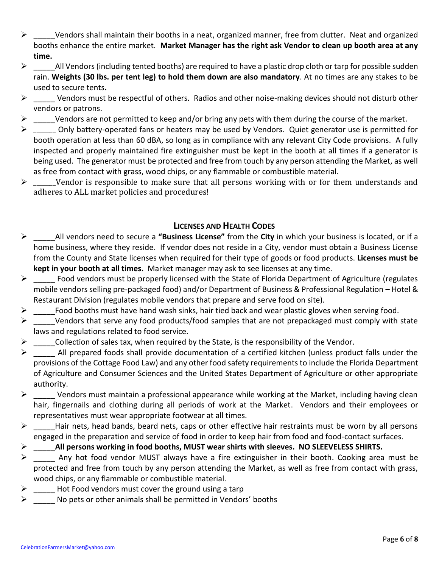- ➢ \_\_\_\_\_Vendors shall maintain their booths in a neat, organized manner, free from clutter. Neat and organized booths enhance the entire market. **Market Manager has the right ask Vendor to clean up booth area at any time.**
- $\triangleright$  All Vendors (including tented booths) are required to have a plastic drop cloth or tarp for possible sudden rain. **Weights (30 lbs. per tent leg) to hold them down are also mandatory**. At no times are any stakes to be used to secure tents**.**
- $\triangleright$  Vendors must be respectful of others. Radios and other noise-making devices should not disturb other vendors or patrons.
- $\triangleright$  Vendors are not permitted to keep and/or bring any pets with them during the course of the market.
- $\triangleright$  Only battery-operated fans or heaters may be used by Vendors. Quiet generator use is permitted for booth operation at less than 60 dBA, so long as in compliance with any relevant City Code provisions. A fully inspected and properly maintained fire extinguisher must be kept in the booth at all times if a generator is being used. The generator must be protected and free from touch by any person attending the Market, as well as free from contact with grass, wood chips, or any flammable or combustible material.
- $\triangleright$  \_\_\_\_\_\_Vendor is responsible to make sure that all persons working with or for them understands and adheres to ALL market policies and procedures!

# **LICENSES AND HEALTH CODES**

- ➢ \_\_\_\_\_All vendors need to secure a **"Business License"** from the **City** in which your business is located, or if a home business, where they reside. If vendor does not reside in a City, vendor must obtain a Business License from the County and State licenses when required for their type of goods or food products. **Licenses must be kept in your booth at all times.** Market manager may ask to see licenses at any time.
- $\triangleright$  Food vendors must be properly licensed with the State of Florida Department of Agriculture (regulates mobile vendors selling pre-packaged food) and/or Department of Business & Professional Regulation – Hotel & Restaurant Division (regulates mobile vendors that prepare and serve food on site).
- $\triangleright$  Food booths must have hand wash sinks, hair tied back and wear plastic gloves when serving food.
- $\triangleright$  Vendors that serve any food products/food samples that are not prepackaged must comply with state laws and regulations related to food service.
- $\triangleright$  Collection of sales tax, when required by the State, is the responsibility of the Vendor.
- $\triangleright$  All prepared foods shall provide documentation of a certified kitchen (unless product falls under the provisions of the Cottage Food Law) and any other food safety requirements to include the Florida Department of Agriculture and Consumer Sciences and the United States Department of Agriculture or other appropriate authority.
- $\triangleright$  Vendors must maintain a professional appearance while working at the Market, including having clean hair, fingernails and clothing during all periods of work at the Market. Vendors and their employees or representatives must wear appropriate footwear at all times.
- $\triangleright$  Hair nets, head bands, beard nets, caps or other effective hair restraints must be worn by all persons engaged in the preparation and service of food in order to keep hair from food and food-contact surfaces.
- ➢ \_\_\_\_\_**All persons working in food booths, MUST wear shirts with sleeves. NO SLEEVELESS SHIRTS.**
- $\triangleright$  Any hot food vendor MUST always have a fire extinguisher in their booth. Cooking area must be protected and free from touch by any person attending the Market, as well as free from contact with grass, wood chips, or any flammable or combustible material.
- $\triangleright$  Hot Food vendors must cover the ground using a tarp
- $\triangleright$  No pets or other animals shall be permitted in Vendors' booths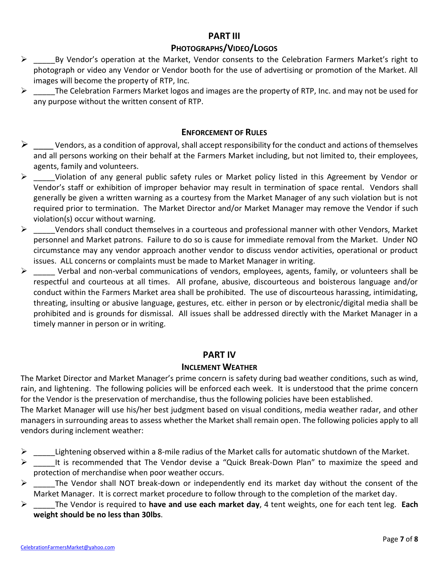## **PART III**

## **PHOTOGRAPHS/VIDEO/LOGOS**

- ➢ \_\_\_\_\_By Vendor's operation at the Market, Vendor consents to the Celebration Farmers Market's right to photograph or video any Vendor or Vendor booth for the use of advertising or promotion of the Market. All images will become the property of RTP, Inc.
- $\triangleright$  The Celebration Farmers Market logos and images are the property of RTP, Inc. and may not be used for any purpose without the written consent of RTP.

### **ENFORCEMENT OF RULES**

- $\triangleright$  \_\_\_\_\_ Vendors, as a condition of approval, shall accept responsibility for the conduct and actions of themselves and all persons working on their behalf at the Farmers Market including, but not limited to, their employees, agents, family and volunteers.
- ➢ \_\_\_\_\_Violation of any general public safety rules or Market policy listed in this Agreement by Vendor or Vendor's staff or exhibition of improper behavior may result in termination of space rental. Vendors shall generally be given a written warning as a courtesy from the Market Manager of any such violation but is not required prior to termination. The Market Director and/or Market Manager may remove the Vendor if such violation(s) occur without warning.
- $\triangleright$  Vendors shall conduct themselves in a courteous and professional manner with other Vendors, Market personnel and Market patrons. Failure to do so is cause for immediate removal from the Market. Under NO circumstance may any vendor approach another vendor to discuss vendor activities, operational or product issues. ALL concerns or complaints must be made to Market Manager in writing.
- $\triangleright$  \_\_\_\_\_ Verbal and non-verbal communications of vendors, employees, agents, family, or volunteers shall be respectful and courteous at all times. All profane, abusive, discourteous and boisterous language and/or conduct within the Farmers Market area shall be prohibited. The use of discourteous harassing, intimidating, threating, insulting or abusive language, gestures, etc. either in person or by electronic/digital media shall be prohibited and is grounds for dismissal. All issues shall be addressed directly with the Market Manager in a timely manner in person or in writing.

### **PART IV**

### **INCLEMENT WEATHER**

The Market Director and Market Manager's prime concern is safety during bad weather conditions, such as wind, rain, and lightening. The following policies will be enforced each week. It is understood that the prime concern for the Vendor is the preservation of merchandise, thus the following policies have been established.

The Market Manager will use his/her best judgment based on visual conditions, media weather radar, and other managers in surrounding areas to assess whether the Market shall remain open. The following policies apply to all vendors during inclement weather:

- Lightening observed within a 8-mile radius of the Market calls for automatic shutdown of the Market.
- $\triangleright$  It is recommended that The Vendor devise a "Quick Break-Down Plan" to maximize the speed and protection of merchandise when poor weather occurs.
- $\triangleright$  The Vendor shall NOT break-down or independently end its market day without the consent of the Market Manager. It is correct market procedure to follow through to the completion of the market day.
- ➢ \_\_\_\_\_The Vendor is required to **have and use each market day**, 4 tent weights, one for each tent leg. **Each weight should be no less than 30lbs**.